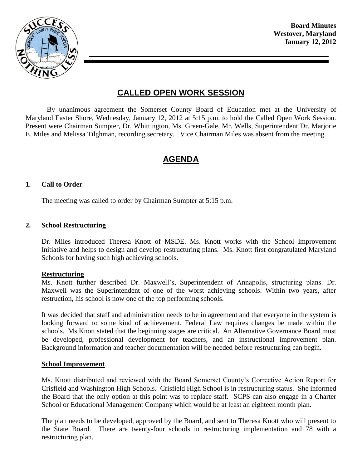

**Board Minutes Westover, Maryland January 12, 2012**

# **CALLED OPEN WORK SESSION**

By unanimous agreement the Somerset County Board of Education met at the University of Maryland Easter Shore, Wednesday, January 12, 2012 at 5:15 p.m. to hold the Called Open Work Session. Present were Chairman Sumpter, Dr. Whittington, Ms. Green-Gale, Mr. Wells, Superintendent Dr. Marjorie E. Miles and Melissa Tilghman, recording secretary. Vice Chairman Miles was absent from the meeting.

# **AGENDA**

#### **1. Call to Order**

The meeting was called to order by Chairman Sumpter at 5:15 p.m.

#### **2. School Restructuring**

Dr. Miles introduced Theresa Knott of MSDE. Ms. Knott works with the School Improvement Initiative and helps to design and develop restructuring plans. Ms. Knott first congratulated Maryland Schools for having such high achieving schools.

#### **Restructuring**

Ms. Knott further described Dr. Maxwell's, Superintendent of Annapolis, structuring plans. Dr. Maxwell was the Superintendent of one of the worst achieving schools. Within two years, after restruction, his school is now one of the top performing schools.

It was decided that staff and administration needs to be in agreement and that everyone in the system is looking forward to some kind of achievement. Federal Law requires changes be made within the schools. Ms Knott stated that the beginning stages are critical. An Alternative Governance Board must be developed, professional development for teachers, and an instructional improvement plan. Background information and teacher documentation will be needed before restructuring can begin.

#### **School Improvement**

Ms. Knott distributed and reviewed with the Board Somerset County's Corrective Action Report for Crisfield and Washington High Schools. Crisfield High School is in restructuring status. She informed the Board that the only option at this point was to replace staff. SCPS can also engage in a Charter School or Educational Management Company which would be at least an eighteen month plan.

The plan needs to be developed, approved by the Board, and sent to Theresa Knott who will present to the State Board. There are twenty-four schools in restructuring implementation and 78 with a restructuring plan.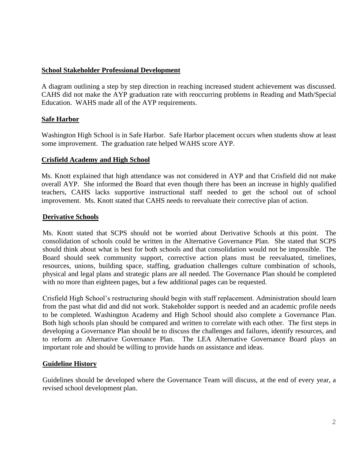## **School Stakeholder Professional Development**

A diagram outlining a step by step direction in reaching increased student achievement was discussed. CAHS did not make the AYP graduation rate with reoccurring problems in Reading and Math/Special Education. WAHS made all of the AYP requirements.

# **Safe Harbor**

Washington High School is in Safe Harbor. Safe Harbor placement occurs when students show at least some improvement. The graduation rate helped WAHS score AYP.

#### **Crisfield Academy and High School**

Ms. Knott explained that high attendance was not considered in AYP and that Crisfield did not make overall AYP. She informed the Board that even though there has been an increase in highly qualified teachers, CAHS lacks supportive instructional staff needed to get the school out of school improvement. Ms. Knott stated that CAHS needs to reevaluate their corrective plan of action.

## **Derivative Schools**

Ms. Knott stated that SCPS should not be worried about Derivative Schools at this point. The consolidation of schools could be written in the Alternative Governance Plan. She stated that SCPS should think about what is best for both schools and that consolidation would not be impossible. The Board should seek community support, corrective action plans must be reevaluated, timelines, resources, unions, building space, staffing, graduation challenges culture combination of schools, physical and legal plans and strategic plans are all needed. The Governance Plan should be completed with no more than eighteen pages, but a few additional pages can be requested.

Crisfield High School's restructuring should begin with staff replacement. Administration should learn from the past what did and did not work. Stakeholder support is needed and an academic profile needs to be completed. Washington Academy and High School should also complete a Governance Plan. Both high schools plan should be compared and written to correlate with each other. The first steps in developing a Governance Plan should be to discuss the challenges and failures, identify resources, and to reform an Alternative Governance Plan. The LEA Alternative Governance Board plays an important role and should be willing to provide hands on assistance and ideas.

# **Guideline History**

Guidelines should be developed where the Governance Team will discuss, at the end of every year, a revised school development plan.